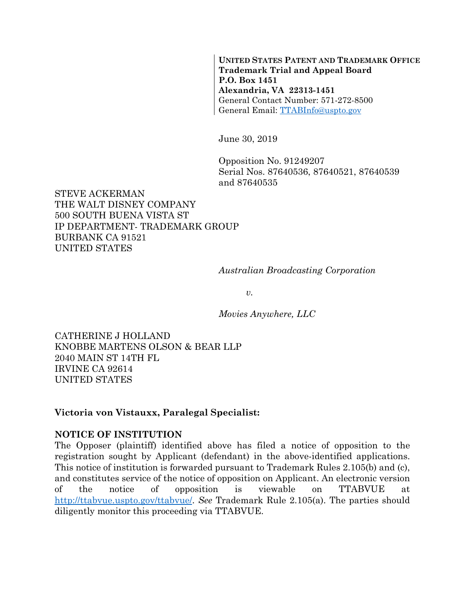**UNITED STATES PATENT AND TRADEMARK OFFICE Trademark Trial and Appeal Board P.O. Box 1451 Alexandria, VA 22313-1451**  General Contact Number: 571-272-8500 General Email: TTABInfo@uspto.gov

June 30, 2019

Opposition No. 91249207 Serial Nos. 87640536, 87640521, 87640539 and 87640535

### STEVE ACKERMAN THE WALT DISNEY COMPANY 500 SOUTH BUENA VISTA ST IP DEPARTMENT- TRADEMARK GROUP BURBANK CA 91521 UNITED STATES

*Australian Broadcasting Corporation* 

*v.* 

*Movies Anywhere, LLC* 

CATHERINE J HOLLAND KNOBBE MARTENS OLSON & BEAR LLP 2040 MAIN ST 14TH FL IRVINE CA 92614 UNITED STATES

#### **Victoria von Vistauxx, Paralegal Specialist:**

#### **NOTICE OF INSTITUTION**

The Opposer (plaintiff) identified above has filed a notice of opposition to the registration sought by Applicant (defendant) in the above-identified applications. This notice of institution is forwarded pursuant to Trademark Rules 2.105(b) and (c), and constitutes service of the notice of opposition on Applicant. An electronic version of the notice of opposition is viewable on TTABVUE at http://ttabvue.uspto.gov/ttabvue/. *See* Trademark Rule 2.105(a). The parties should diligently monitor this proceeding via TTABVUE.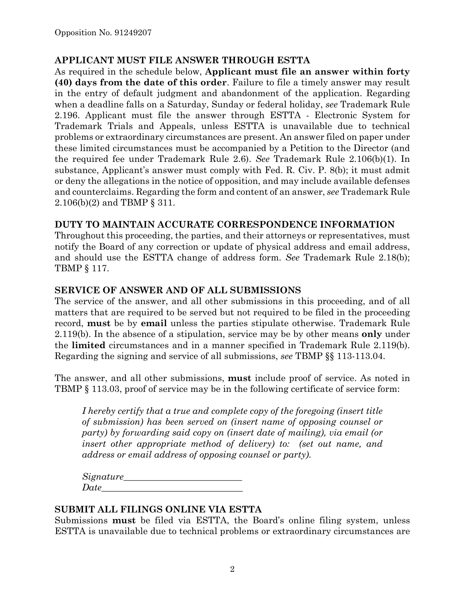## **APPLICANT MUST FILE ANSWER THROUGH ESTTA**

As required in the schedule below, **Applicant must file an answer within forty (40) days from the date of this order**. Failure to file a timely answer may result in the entry of default judgment and abandonment of the application. Regarding when a deadline falls on a Saturday, Sunday or federal holiday, *see* Trademark Rule 2.196. Applicant must file the answer through ESTTA - Electronic System for Trademark Trials and Appeals, unless ESTTA is unavailable due to technical problems or extraordinary circumstances are present. An answer filed on paper under these limited circumstances must be accompanied by a Petition to the Director (and the required fee under Trademark Rule 2.6). *See* Trademark Rule 2.106(b)(1). In substance, Applicant's answer must comply with Fed. R. Civ. P. 8(b); it must admit or deny the allegations in the notice of opposition, and may include available defenses and counterclaims. Regarding the form and content of an answer, *see* Trademark Rule 2.106(b)(2) and TBMP § 311.

## **DUTY TO MAINTAIN ACCURATE CORRESPONDENCE INFORMATION**

Throughout this proceeding, the parties, and their attorneys or representatives, must notify the Board of any correction or update of physical address and email address, and should use the ESTTA change of address form. *See* Trademark Rule 2.18(b); TBMP § 117.

## **SERVICE OF ANSWER AND OF ALL SUBMISSIONS**

The service of the answer, and all other submissions in this proceeding, and of all matters that are required to be served but not required to be filed in the proceeding record, **must** be by **email** unless the parties stipulate otherwise. Trademark Rule 2.119(b). In the absence of a stipulation, service may be by other means **only** under the **limited** circumstances and in a manner specified in Trademark Rule 2.119(b). Regarding the signing and service of all submissions, *see* TBMP §§ 113-113.04.

The answer, and all other submissions, **must** include proof of service. As noted in TBMP § 113.03, proof of service may be in the following certificate of service form:

*I hereby certify that a true and complete copy of the foregoing (insert title of submission) has been served on (insert name of opposing counsel or party) by forwarding said copy on (insert date of mailing), via email (or insert other appropriate method of delivery) to: (set out name, and address or email address of opposing counsel or party).* 

*Signature\_\_\_\_\_\_\_\_\_\_\_\_\_\_\_\_\_\_\_\_\_\_\_\_\_\_*   $Date$ 

## **SUBMIT ALL FILINGS ONLINE VIA ESTTA**

Submissions **must** be filed via ESTTA, the Board's online filing system, unless ESTTA is unavailable due to technical problems or extraordinary circumstances are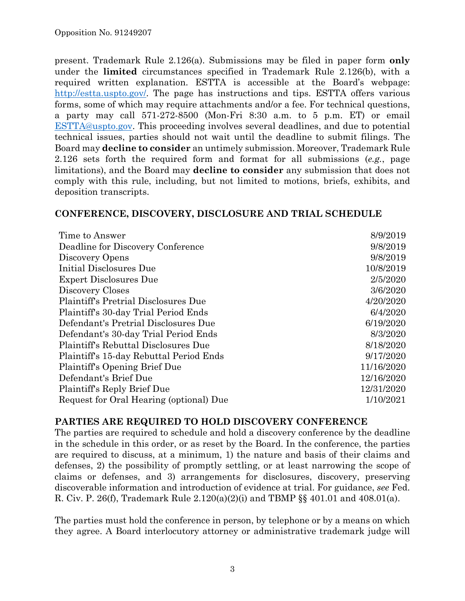present. Trademark Rule 2.126(a). Submissions may be filed in paper form **only** under the **limited** circumstances specified in Trademark Rule 2.126(b), with a required written explanation. ESTTA is accessible at the Board's webpage: http://estta.uspto.gov/. The page has instructions and tips. ESTTA offers various forms, some of which may require attachments and/or a fee. For technical questions, a party may call 571-272-8500 (Mon-Fri 8:30 a.m. to 5 p.m. ET) or email ESTTA@uspto.gov. This proceeding involves several deadlines, and due to potential technical issues, parties should not wait until the deadline to submit filings. The Board may **decline to consider** an untimely submission. Moreover, Trademark Rule 2.126 sets forth the required form and format for all submissions (*e.g.*, page limitations), and the Board may **decline to consider** any submission that does not comply with this rule, including, but not limited to motions, briefs, exhibits, and deposition transcripts.

### **CONFERENCE, DISCOVERY, DISCLOSURE AND TRIAL SCHEDULE**

| Time to Answer                              | 8/9/2019   |
|---------------------------------------------|------------|
| Deadline for Discovery Conference           | 9/8/2019   |
| Discovery Opens                             | 9/8/2019   |
| Initial Disclosures Due                     | 10/8/2019  |
| <b>Expert Disclosures Due</b>               | 2/5/2020   |
| Discovery Closes                            | 3/6/2020   |
| <b>Plaintiff's Pretrial Disclosures Due</b> | 4/20/2020  |
| Plaintiff's 30-day Trial Period Ends        | 6/4/2020   |
| Defendant's Pretrial Disclosures Due        | 6/19/2020  |
| Defendant's 30-day Trial Period Ends        | 8/3/2020   |
| <b>Plaintiff's Rebuttal Disclosures Due</b> | 8/18/2020  |
| Plaintiff's 15-day Rebuttal Period Ends     | 9/17/2020  |
| Plaintiff's Opening Brief Due               | 11/16/2020 |
| Defendant's Brief Due                       | 12/16/2020 |
| Plaintiff's Reply Brief Due                 | 12/31/2020 |
| Request for Oral Hearing (optional) Due     | 1/10/2021  |

## **PARTIES ARE REQUIRED TO HOLD DISCOVERY CONFERENCE**

The parties are required to schedule and hold a discovery conference by the deadline in the schedule in this order, or as reset by the Board. In the conference, the parties are required to discuss, at a minimum, 1) the nature and basis of their claims and defenses, 2) the possibility of promptly settling, or at least narrowing the scope of claims or defenses, and 3) arrangements for disclosures, discovery, preserving discoverable information and introduction of evidence at trial. For guidance, *see* Fed. R. Civ. P. 26(f), Trademark Rule 2.120(a)(2)(i) and TBMP §§ 401.01 and 408.01(a).

The parties must hold the conference in person, by telephone or by a means on which they agree. A Board interlocutory attorney or administrative trademark judge will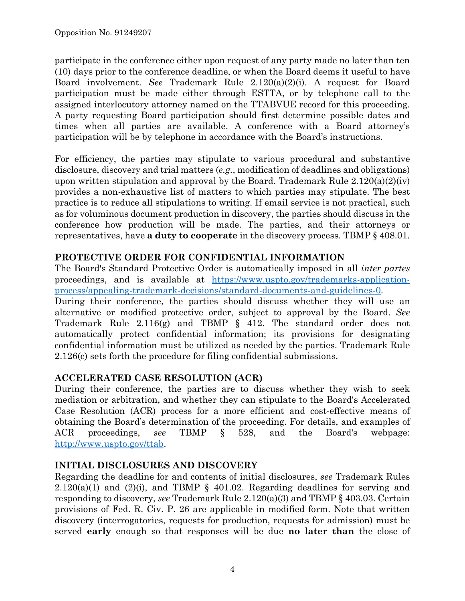participate in the conference either upon request of any party made no later than ten (10) days prior to the conference deadline, or when the Board deems it useful to have Board involvement. *See* Trademark Rule 2.120(a)(2)(i). A request for Board participation must be made either through ESTTA, or by telephone call to the assigned interlocutory attorney named on the TTABVUE record for this proceeding. A party requesting Board participation should first determine possible dates and times when all parties are available. A conference with a Board attorney's participation will be by telephone in accordance with the Board's instructions.

For efficiency, the parties may stipulate to various procedural and substantive disclosure, discovery and trial matters (*e.g.*, modification of deadlines and obligations) upon written stipulation and approval by the Board. Trademark Rule  $2.120(a)(2)(iv)$ provides a non-exhaustive list of matters to which parties may stipulate. The best practice is to reduce all stipulations to writing. If email service is not practical, such as for voluminous document production in discovery, the parties should discuss in the conference how production will be made. The parties, and their attorneys or representatives, have **a duty to cooperate** in the discovery process. TBMP § 408.01.

## **PROTECTIVE ORDER FOR CONFIDENTIAL INFORMATION**

The Board's Standard Protective Order is automatically imposed in all *inter partes* proceedings, and is available at https://www.uspto.gov/trademarks-applicationprocess/appealing-trademark-decisions/standard-documents-and-guidelines-0.

During their conference, the parties should discuss whether they will use an alternative or modified protective order, subject to approval by the Board. *See* Trademark Rule 2.116(g) and TBMP § 412. The standard order does not automatically protect confidential information; its provisions for designating confidential information must be utilized as needed by the parties. Trademark Rule 2.126(c) sets forth the procedure for filing confidential submissions.

# **ACCELERATED CASE RESOLUTION (ACR)**

During their conference, the parties are to discuss whether they wish to seek mediation or arbitration, and whether they can stipulate to the Board's Accelerated Case Resolution (ACR) process for a more efficient and cost-effective means of obtaining the Board's determination of the proceeding. For details, and examples of ACR proceedings, *see* TBMP § 528, and the Board's webpage: http://www.uspto.gov/ttab.

## **INITIAL DISCLOSURES AND DISCOVERY**

Regarding the deadline for and contents of initial disclosures, *see* Trademark Rules  $2.120(a)(1)$  and  $(2)(i)$ , and TBMP § 401.02. Regarding deadlines for serving and responding to discovery, *see* Trademark Rule 2.120(a)(3) and TBMP § 403.03. Certain provisions of Fed. R. Civ. P. 26 are applicable in modified form. Note that written discovery (interrogatories, requests for production, requests for admission) must be served **early** enough so that responses will be due **no later than** the close of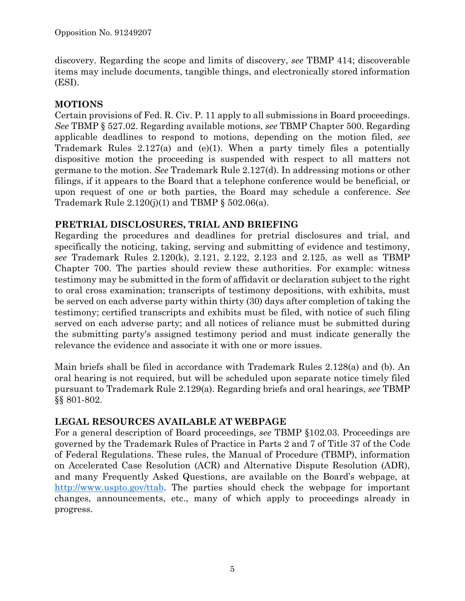discovery. Regarding the scope and limits of discovery, *see* TBMP 414; discoverable items may include documents, tangible things, and electronically stored information (ESI).

# **MOTIONS**

Certain provisions of Fed. R. Civ. P. 11 apply to all submissions in Board proceedings. *See* TBMP § 527.02. Regarding available motions, *see* TBMP Chapter 500. Regarding applicable deadlines to respond to motions, depending on the motion filed, *see* Trademark Rules 2.127(a) and (e)(1). When a party timely files a potentially dispositive motion the proceeding is suspended with respect to all matters not germane to the motion. *See* Trademark Rule 2.127(d). In addressing motions or other filings, if it appears to the Board that a telephone conference would be beneficial, or upon request of one or both parties, the Board may schedule a conference. *See* Trademark Rule  $2.120(j)(1)$  and TBMP § 502.06(a).

# **PRETRIAL DISCLOSURES, TRIAL AND BRIEFING**

Regarding the procedures and deadlines for pretrial disclosures and trial, and specifically the noticing, taking, serving and submitting of evidence and testimony, *see* Trademark Rules 2.120(k), 2.121, 2.122, 2.123 and 2.125, as well as TBMP Chapter 700. The parties should review these authorities. For example: witness testimony may be submitted in the form of affidavit or declaration subject to the right to oral cross examination; transcripts of testimony depositions, with exhibits, must be served on each adverse party within thirty (30) days after completion of taking the testimony; certified transcripts and exhibits must be filed, with notice of such filing served on each adverse party; and all notices of reliance must be submitted during the submitting party's assigned testimony period and must indicate generally the relevance the evidence and associate it with one or more issues.

Main briefs shall be filed in accordance with Trademark Rules 2.128(a) and (b). An oral hearing is not required, but will be scheduled upon separate notice timely filed pursuant to Trademark Rule 2.129(a). Regarding briefs and oral hearings, *see* TBMP §§ 801-802.

# **LEGAL RESOURCES AVAILABLE AT WEBPAGE**

For a general description of Board proceedings, *see* TBMP §102.03. Proceedings are governed by the Trademark Rules of Practice in Parts 2 and 7 of Title 37 of the Code of Federal Regulations. These rules, the Manual of Procedure (TBMP), information on Accelerated Case Resolution (ACR) and Alternative Dispute Resolution (ADR), and many Frequently Asked Questions, are available on the Board's webpage, at http://www.uspto.gov/ttab. The parties should check the webpage for important changes, announcements, etc., many of which apply to proceedings already in progress.